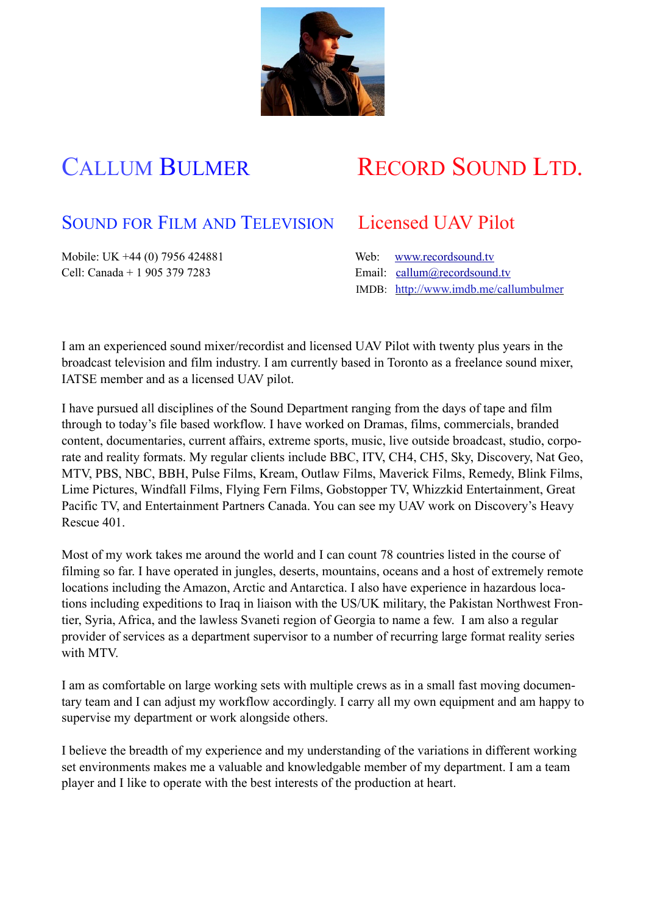

# CALLUM BULMER RECORD SOUND LTD.

## SOUND FOR FILM AND TELEVISION Licensed UAV Pilot

Mobile: UK +44 (0) 7956 424881 Web: [www.recordsound.tv](http://www.recordsound.co.uk) Cell: Canada + 1 905 379 7283 Email: [callum@recordsound.tv](mailto:callum@recordsound.co.uk)

IMDB: http://www.imdb.me/callumbulmer

I am an experienced sound mixer/recordist and licensed UAV Pilot with twenty plus years in the broadcast television and film industry. I am currently based in Toronto as a freelance sound mixer, IATSE member and as a licensed UAV pilot.

I have pursued all disciplines of the Sound Department ranging from the days of tape and film through to today's file based workflow. I have worked on Dramas, films, commercials, branded content, documentaries, current affairs, extreme sports, music, live outside broadcast, studio, corporate and reality formats. My regular clients include BBC, ITV, CH4, CH5, Sky, Discovery, Nat Geo, MTV, PBS, NBC, BBH, Pulse Films, Kream, Outlaw Films, Maverick Films, Remedy, Blink Films, Lime Pictures, Windfall Films, Flying Fern Films, Gobstopper TV, Whizzkid Entertainment, Great Pacific TV, and Entertainment Partners Canada. You can see my UAV work on Discovery's Heavy Rescue 401.

Most of my work takes me around the world and I can count 78 countries listed in the course of filming so far. I have operated in jungles, deserts, mountains, oceans and a host of extremely remote locations including the Amazon, Arctic and Antarctica. I also have experience in hazardous locations including expeditions to Iraq in liaison with the US/UK military, the Pakistan Northwest Frontier, Syria, Africa, and the lawless Svaneti region of Georgia to name a few. I am also a regular provider of services as a department supervisor to a number of recurring large format reality series with MTV

I am as comfortable on large working sets with multiple crews as in a small fast moving documentary team and I can adjust my workflow accordingly. I carry all my own equipment and am happy to supervise my department or work alongside others.

I believe the breadth of my experience and my understanding of the variations in different working set environments makes me a valuable and knowledgable member of my department. I am a team player and I like to operate with the best interests of the production at heart.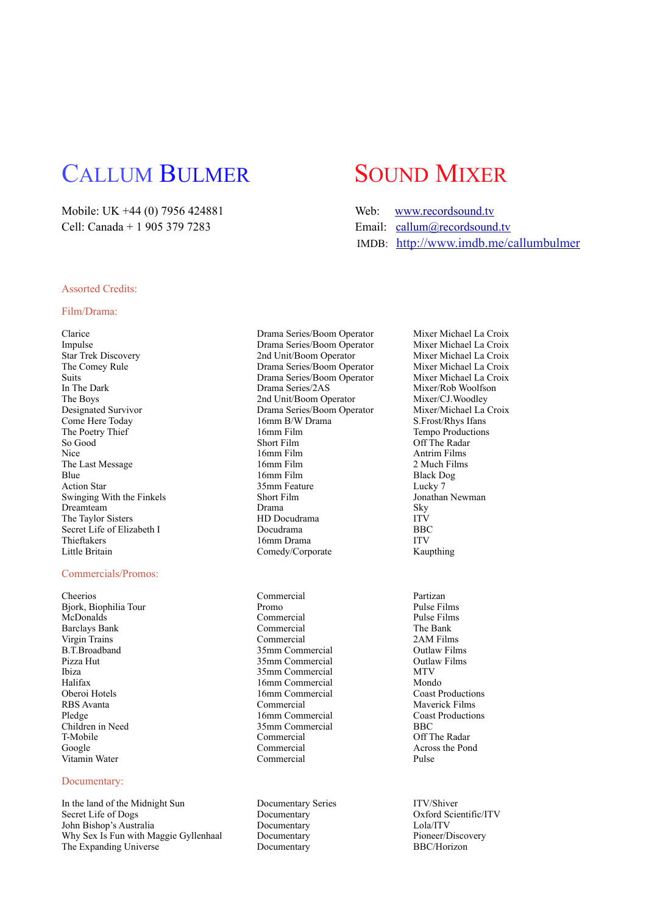## CALLUM BULMER SOUND MIXER

Mobile: UK +44 (0) 7956 424881 Cell: Canada + 1 905 379 7283 Email: canada + 1 905 379 7283

| Mobile: UK +44 (0) 7956 424881 | Web: www.recordsound.tv                   |
|--------------------------------|-------------------------------------------|
| Cell: Canada + 1 905 379 7283  | Email: $\text{callum}(a)$ records ound tv |
|                                | IMDB: http://www.imdb.me/callumbulmer     |

## Assorted Credits:

### Film/Drama:

Clarice Drama Series/Boom Operator Mixer Michael La Croix The Last Message Swinging With the Finkels Little Britain Comedy/Corporate Kaupthing

#### Commercials/Promos:

Cheerios Commercial Partizan Bjork, Biophilia Tour **Promo** Promo Pulse Films<br>
McDonalds Pulse Films<br>
Pulse Films McDonalds Commercial Pulse Films Barclays Bank Virgin Trains Commercial 2AM Films B.T.Broadband 35mm Commercial Outlaw Films Pizza Hut 35mm Commercial Outlaw Films Ibiza 35mm Commercial MTV Halifax 16mm Commercial Mondo<br>
16mm Commercial Coast Productions<br>
16mm Commercial Coast Productions RBS Avanta Commercial Maverick Films Pledge 16mm Commercial Coast Productions<br>
Coast Productions<br>
Coast Productions<br>
25mm Commercial BBC<br>
BBC T-Mobile Commercial Commercial Off The Radar<br>
Commercial Constants Constants Constants Commercial Commercial Commercial Commercial Constants Constants Constants Commercial Commercial Commercial Commercial Commercial Commer

## Documentary:

In the land of the Midnight Sun Documentary Series ITV/Shiver<br>Secret Life of Dogs Documentary Documentary Oxford Scie John Bishop's Australia Documentary Lola/ITV Why Sex Is Fun with Maggie Gyllenhaal The Expanding Universe 2008 Documentary Documentary BBC/Horizon

Impulse Drama Series/Boom Operator Star Trek Discovery 2nd Unit/Boom Operator Mixer Michael La Croix<br>
2nd Unit/Boom Operator Mixer Michael La Croix<br>
2nd Unit/Boom Operator Mixer Michael La Croix The Comey Rule **The Comey Rule 19 Comey Rule 19 Comey Rule 1** Croix Drama Series/Boom Operator Mixer Michael La Croix Suits Suits Drama Series/Boom Operator<br>
In The Dark<br>
Drama Series/2AS The Boys<br>
2nd Unit/Boom Operator Mixer/CJ.Woodley<br>
Drama Series/Boom Operator Mixer/Michael La Croix Designated Survivor **Drama Series/Boom Operator** Mixer/Michael La Come Here Today **Drama** Series/Boom Operator Mixer/Michael La Come Here Today 16mm B/W Drama The Poetry Thief 16mm Film 16mm Film Tempo Productions<br>So Good Short Film 16mm Tempo Productions Nice 16mm Film 16mm Film Antrim Films<br>16mm Film 16mm Film 2 Much Films Blue 16mm Film Black Dog Action Star 19. Action Star 1.1 and 35mm Feature 1.1 and 2.5mm Feature 1.1 and 2.5mm Feature 1.1 and 2.5mm Feature 1.1 and 2.5mm Feature 1.1 and 2.5mm Feature 1.1 and 2.5mm Feature 1.1 and 2.5mm Feature 1.1 and 2.5mm Featu Dreamteam Drama Sky The Taylor Sisters **HD** Docudrama ITV<br>
Secret Life of Elizabeth I Docudrama **ITV**<br>
BBC Secret Life of Elizabeth I Docudrama<br>
Thieftakers
I Domn Drama
I ITV
ITV
ITV

BBC 16mm Drama

16mm Commercial 35mm Commercial Vitamin Water Commercial Pulse

Mixer/Rob Woolfson Off The Radar

Across the Pond

Oxford Scientific/ITV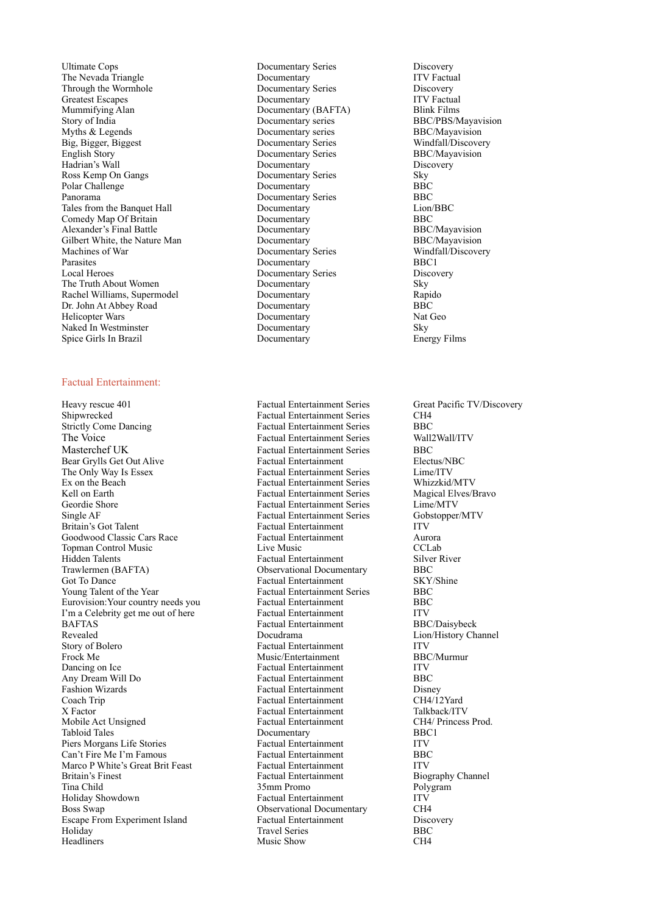Ultimate Cops<br>
The Nevada Triangle<br>
Documentary Series<br>
Documentary Series<br>
Documentary Series<br>
Discovery<br>
ITV Factual The Nevada Triangle Through the Wormhole **Series** Documentary Series Discovery<br>
Discovery<br>
Documentary New Documentary Series Discovery<br>
ITV Factual Greatest Escapes Documentary Mummifying Alan Documentary (BAFTA) Blink Films Story of India **BBC/PBS/Mayavision** Documentary series **BBC/PBS/Mayavision** Myths & Legends **Documentary series** BBC/Mayavision Big, Bigger, Biggest Documentary Series Windfall/Discovery English Story Documentary Series BBC/Mayavision Hadrian's Wall **Documentary** Discovery<br>
Ross Kemp On Gangs **Documentary Series** Sky Ross Kemp On Gangs Documentary Series Sky Polar Challenge Documentary Panorama Documentary Series BBC<br>
Tales from the Banquet Hall Documentary Series Lion/BBC<br>
Lion/BBC Tales from the Banquet Hall Comedy Map Of Britain Documentary BBC Alexander's Final Battle Documentary BBC/Mayavision Gilbert White, the Nature Man Documentary BBC/Mayavision Machines of War Documentary Series Windfall/Discovery Parasites Documentary BBC1<br>
Local Heroes Documentary Series Discov The Truth About Women **Documentary** Sky Sky Rachel Williams, Supermodel **Documentary** Rapido Rachel Williams, Supermodel **Supermodel** Documentary Rapidomentary Rapidomentary Rapidomentary Rapidomentary Rapidomentary Rapidomentary Rapidomentary Rapidomentary Rapidomentary Rapidomentary Rapidomentary Rapidomentary R Dr. John At Abbey Road Helicopter Wars **Documentary** Nat Geo Naked In Westminster Theorem 2013 Commentary Sky Sky Spice Girls In Brazil and Sky Documentary Sky Energy Films Spice Girls In Brazil

#### Factual Entertainment:

Heavy rescue 401 Factual Entertainment Series Great Pacific TV/Discovery Factual Entertainment Series Shipwrecked Factual Entertainment Series CH4 Strictly Come Dancing **Factual Entertainment Series** BBC The Voice Factual Entertainment Series Wall2Wall/ITV<br>Masterchef UK Factual Entertainment Series RBC Bear Grylls Get Out Alive Factual Entertainment<br>The Only Way Is Essex Factual Entertainment The Only Way Is Essex Factual Entertainment Series Lime/ITV<br>
Ex on the Beach Series Factual Entertainment Series Whizzkid/MTV Ex on the Beach Factual Entertainment Series Whizzkid/MTV<br>
Kell on Earth Factual Entertainment Series Magical Elves/Bravo Kell on Earth Factual Entertainment Series Magical Elves<br>
Factual Entertainment Series Lime/MTV Single AF Factual Entertainment Series Gobstopper/MTV Britain's Got Talent Factual Entertainment ITV<br>
Goodwood Classic Cars Race Factual Entertainment Auro Goodwood Classic Cars Race Factual Entertainment Aurora Topman Control Music Live Music Live Music CCLab<br>
Hidden Talents Control Control Control Control Control Control Control Control Control Control Control Control Control Control Control Control Control Control Control Contr Hidden Talents<br>
Trawlermen (BAFTA) Supervational Document Changes River River River River River River River River River River<br>
Supervational Document River River River River River River River River River River River River Got To Dance<br>
Young Talent of the Year<br>
Factual Entertainment Series<br>
BBC<br>
BBC Eurovision: Your country needs you I'm a Celebrity get me out of here Factual Entertainment ITV<br>BAFTAS Factual Entertainment BBC/Daisybeck BAFTAS Factual Entertainment<br>Revealed Docudrama Story of Bolero Factual Entertainment ITV<br>Frock Me Music/Entertainment BBC/Murmur Dancing on Ice **Factual Entertainment** ITV Any Dream Will Do Factual Entertainment BBC<br>
Fashion Wizards Factual Entertainment Disney Coach Trip Factual Entertainment X Factor **Factual Entertainment** Talkback/ITV <br>Mobile Act Unsigned **Factual Entertainment** CH4/ Princess Prod. Mobile Act Unsigned Factual Entertainment CH4/ Princess Product CH4/ Princess Product Princess Prod. Princess Prod. Princess Princess Princess Princess Princess Princess Princess Princess Princess Princess Princess Princes Piers Morgans Life Stories Factual Entertainment ITV<br>
Can't Fire Me I'm Famous Factual Entertainment BBC Can't Fire Me I'm Famous Factual Entertainment BBC Marco P White's Great Brit Feast Britain's Finest Factual Entertainment Biography Channel Tina Child 35mm Promo Polygram Boss Swap Observational Documentary CH4 Escape From Experiment Island Factual Entertainment Discovery<br>
Holiday BBC BBC Headliners Music Show CH4

Documentary Series Discovery

Factual Entertainment Series BBC<br>Factual Entertainment Blectus/NBC Eactual Entertainment Series Observational Documentary BBC Factual Entertainment Series BBC<br>Factual Entertainment BBC Music/Entertainment Factual Entertainment<br>
Factual Entertainment<br>
CH4/12Yard Documentary Factual Entertainment **Travel Series** 

Lion/History Channel